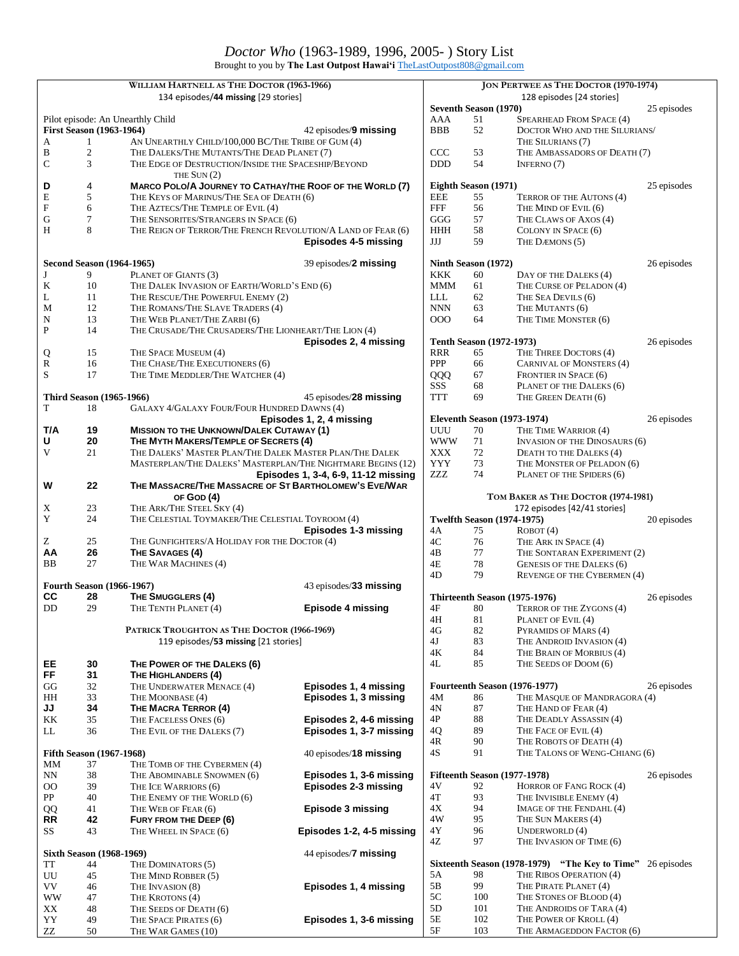Brought to you by **The Last Outpost Hawai'i** [TheLastOutpost808@gmail.com](mailto:TheLastOutpost808@gmail.com)

|                    |                                      | WILLIAM HARTNELL AS THE DOCTOR (1963-1966)                                                       |                                     |                           |                                    | <b>JON PERTWEE AS THE DOCTOR (1970-1974)</b>       |             |
|--------------------|--------------------------------------|--------------------------------------------------------------------------------------------------|-------------------------------------|---------------------------|------------------------------------|----------------------------------------------------|-------------|
|                    |                                      | 134 episodes/44 missing [29 stories]                                                             |                                     |                           |                                    | 128 episodes [24 stories]                          |             |
|                    |                                      |                                                                                                  |                                     |                           | <b>Seventh Season (1970)</b>       |                                                    | 25 episodes |
|                    |                                      | Pilot episode: An Unearthly Child                                                                |                                     | AAA                       | 51                                 | SPEARHEAD FROM SPACE (4)                           |             |
| A                  | <b>First Season (1963-1964)</b><br>1 |                                                                                                  | 42 episodes/ <b>9 missing</b>       | <b>BBB</b>                | 52                                 | DOCTOR WHO AND THE SILURIANS/<br>THE SILURIANS (7) |             |
| B                  | $\sqrt{2}$                           | AN UNEARTHLY CHILD/100,000 BC/THE TRIBE OF GUM (4)<br>THE DALEKS/THE MUTANTS/THE DEAD PLANET (7) |                                     | CCC                       | 53                                 | THE AMBASSADORS OF DEATH (7)                       |             |
| $\mathsf{C}$       | 3                                    | THE EDGE OF DESTRUCTION/INSIDE THE SPACESHIP/BEYOND                                              |                                     | <b>DDD</b>                | 54                                 | INFERNO (7)                                        |             |
|                    |                                      | THE $SUN(2)$                                                                                     |                                     |                           |                                    |                                                    |             |
| D                  | 4                                    | MARCO POLO/A JOURNEY TO CATHAY/THE ROOF OF THE WORLD (7)                                         |                                     |                           | Eighth Season (1971)               |                                                    | 25 episodes |
| E                  | 5                                    | THE KEYS OF MARINUS/THE SEA OF DEATH (6)                                                         |                                     | <b>EEE</b>                | 55                                 | TERROR OF THE AUTONS (4)                           |             |
| ${\bf F}$          | 6                                    | THE AZTECS/THE TEMPLE OF EVIL (4)                                                                |                                     | <b>FFF</b>                | 56                                 | THE MIND OF EVIL (6)                               |             |
| G                  | $\tau$                               | THE SENSORITES/STRANGERS IN SPACE (6)                                                            |                                     | GGG                       | 57                                 | THE CLAWS OF AXOS (4)                              |             |
| H                  | 8                                    | THE REIGN OF TERROR/THE FRENCH REVOLUTION/A LAND OF FEAR (6)                                     |                                     | <b>HHH</b>                | 58                                 | COLONY IN SPACE (6)                                |             |
|                    |                                      |                                                                                                  | Episodes 4-5 missing                | JJJ                       | 59                                 | THE DÆMONS (5)                                     |             |
|                    |                                      |                                                                                                  |                                     |                           |                                    |                                                    |             |
|                    | <b>Second Season (1964-1965)</b>     |                                                                                                  | 39 episodes/2 missing               |                           | Ninth Season (1972)                |                                                    | 26 episodes |
| J                  | 9                                    | PLANET OF GIANTS (3)                                                                             |                                     | <b>KKK</b>                | 60                                 | DAY OF THE DALEKS (4)                              |             |
| $\bf K$            | 10                                   | THE DALEK INVASION OF EARTH/WORLD'S END (6)                                                      |                                     | <b>MMM</b>                | 61                                 | THE CURSE OF PELADON (4)                           |             |
| L                  | 11                                   | THE RESCUE/THE POWERFUL ENEMY (2)                                                                |                                     | LLL                       | 62                                 | THE SEA DEVILS (6)                                 |             |
| M                  | 12                                   | THE ROMANS/THE SLAVE TRADERS (4)                                                                 |                                     | <b>NNN</b>                | 63                                 | THE MUTANTS (6)                                    |             |
| N                  | 13                                   | THE WEB PLANET/THE ZARBI (6)                                                                     |                                     | 000                       | 64                                 | THE TIME MONSTER (6)                               |             |
| P                  | 14                                   | THE CRUSADE/THE CRUSADERS/THE LIONHEART/THE LION (4)                                             | Episodes 2, 4 missing               |                           | <b>Tenth Season (1972-1973)</b>    |                                                    |             |
|                    | 15                                   | THE SPACE MUSEUM (4)                                                                             |                                     | RRR                       | 65                                 | THE THREE DOCTORS (4)                              | 26 episodes |
| Q<br>${\mathbb R}$ | 16                                   | THE CHASE/THE EXECUTIONERS (6)                                                                   |                                     | PPP                       | 66                                 | <b>CARNIVAL OF MONSTERS (4)</b>                    |             |
| S                  | 17                                   | THE TIME MEDDLER/THE WATCHER (4)                                                                 |                                     | QQQ                       | 67                                 | <b>FRONTIER IN SPACE (6)</b>                       |             |
|                    |                                      |                                                                                                  |                                     | SSS                       | 68                                 | PLANET OF THE DALEKS (6)                           |             |
|                    | <b>Third Season (1965-1966)</b>      |                                                                                                  | 45 episodes/28 missing              | TTT                       | 69                                 | THE GREEN DEATH (6)                                |             |
| T                  | 18                                   | GALAXY 4/GALAXY FOUR/FOUR HUNDRED DAWNS (4)                                                      |                                     |                           |                                    |                                                    |             |
|                    |                                      |                                                                                                  | Episodes 1, 2, 4 missing            |                           | <b>Eleventh Season (1973-1974)</b> |                                                    | 26 episodes |
| T/A                | 19                                   | <b>MISSION TO THE UNKNOWN/DALEK CUTAWAY (1)</b>                                                  |                                     | UUU                       | 70                                 | THE TIME WARRIOR (4)                               |             |
| U                  | 20                                   | THE MYTH MAKERS/TEMPLE OF SECRETS (4)                                                            |                                     | <b>WWW</b>                | 71                                 | <b>INVASION OF THE DINOSAURS (6)</b>               |             |
| V                  | 21                                   | THE DALEKS' MASTER PLAN/THE DALEK MASTER PLAN/THE DALEK                                          |                                     | <b>XXX</b>                | 72                                 | DEATH TO THE DALEKS (4)                            |             |
|                    |                                      | MASTERPLAN/THE DALEKS' MASTERPLAN/THE NIGHTMARE BEGINS (12)                                      |                                     | <b>YYY</b>                | 73                                 | THE MONSTER OF PELADON (6)                         |             |
|                    |                                      |                                                                                                  | Episodes 1, 3-4, 6-9, 11-12 missing | $\ensuremath{\text{ZZZ}}$ | 74                                 | PLANET OF THE SPIDERS (6)                          |             |
| W                  | 22                                   | THE MASSACRE/THE MASSACRE OF ST BARTHOLOMEW'S EVE/WAR                                            |                                     |                           |                                    |                                                    |             |
|                    |                                      | OF GOD (4)                                                                                       |                                     |                           |                                    | TOM BAKER AS THE DOCTOR (1974-1981)                |             |
| X                  | 23                                   | THE ARK/THE STEEL SKY (4)                                                                        |                                     |                           |                                    | 172 episodes [42/41 stories]                       |             |
| Y                  | 24                                   | THE CELESTIAL TOYMAKER/THE CELESTIAL TOYROOM (4)                                                 |                                     |                           | <b>Twelfth Season (1974-1975)</b>  |                                                    | 20 episodes |
|                    |                                      |                                                                                                  | Episodes 1-3 missing                | 4Α                        | 75                                 | ROBOT(4)                                           |             |
| Z                  | 25                                   | THE GUNFIGHTERS/A HOLIDAY FOR THE DOCTOR (4)                                                     |                                     | 4C                        | 76                                 | THE ARK IN SPACE (4)                               |             |
| AA                 | 26                                   | THE SAVAGES (4)                                                                                  |                                     | 4B                        | 77                                 | THE SONTARAN EXPERIMENT (2)                        |             |
| BB                 | 27                                   | THE WAR MACHINES (4)                                                                             |                                     | 4E                        | 78                                 | <b>GENESIS OF THE DALEKS (6)</b>                   |             |
|                    |                                      |                                                                                                  |                                     | 4D                        | 79                                 | REVENGE OF THE CYBERMEN (4)                        |             |
|                    | <b>Fourth Season (1966-1967)</b>     |                                                                                                  | 43 episodes/33 missing              |                           |                                    |                                                    |             |
| CС<br>DD           | 28<br>29                             | THE SMUGGLERS (4)                                                                                |                                     | 4F                        | Thirteenth Season (1975-1976)      |                                                    | 26 episodes |
|                    |                                      | THE TENTH PLANET (4)                                                                             | Episode 4 missing                   | 4H                        | 80                                 | TERROR OF THE ZYGONS (4)                           |             |
|                    |                                      | PATRICK TROUGHTON AS THE DOCTOR (1966-1969)                                                      |                                     |                           | 81<br>82                           | PLANET OF EVIL (4)                                 |             |
|                    |                                      | 119 episodes/53 missing [21 stories]                                                             |                                     | 4G<br>4J                  | 83                                 | PYRAMIDS OF MARS (4)<br>THE ANDROID INVASION (4)   |             |
|                    |                                      |                                                                                                  |                                     | 4Κ                        | 84                                 | THE BRAIN OF MORBIUS (4)                           |             |
| EE                 | 30                                   | THE POWER OF THE DALEKS (6)                                                                      |                                     | 4L                        | 85                                 | THE SEEDS OF DOOM (6)                              |             |
| FF                 | 31                                   | THE HIGHLANDERS (4)                                                                              |                                     |                           |                                    |                                                    |             |
| GG                 | 32                                   | THE UNDERWATER MENACE (4)                                                                        | Episodes 1, 4 missing               |                           |                                    | Fourteenth Season (1976-1977)                      | 26 episodes |
| HH                 | 33                                   | THE MOONBASE (4)                                                                                 | Episodes 1, 3 missing               | 4M                        | 86                                 | THE MASQUE OF MANDRAGORA (4)                       |             |
| JJ                 | 34                                   | THE MACRA TERROR (4)                                                                             |                                     | 4N                        | 87                                 | THE HAND OF FEAR (4)                               |             |
| KK                 | 35                                   | THE FACELESS ONES (6)                                                                            | Episodes 2, 4-6 missing             | 4Р                        | 88                                 | THE DEADLY ASSASSIN (4)                            |             |
| LL                 | 36                                   | THE EVIL OF THE DALEKS (7)                                                                       | Episodes 1, 3-7 missing             | 4Q                        | 89                                 | THE FACE OF EVIL (4)                               |             |
|                    |                                      |                                                                                                  |                                     | 4R                        | 90                                 | THE ROBOTS OF DEATH (4)                            |             |
|                    | <b>Fifth Season (1967-1968)</b>      |                                                                                                  | 40 episodes/18 missing              | $4\mathrm{S}$             | 91                                 | THE TALONS OF WENG-CHIANG (6)                      |             |
| MМ                 | 37                                   | THE TOMB OF THE CYBERMEN (4)                                                                     |                                     |                           |                                    |                                                    |             |
| NN                 | 38                                   | THE ABOMINABLE SNOWMEN (6)                                                                       | Episodes 1, 3-6 missing             |                           | Fifteenth Season (1977-1978)       |                                                    | 26 episodes |
| $_{\rm OO}$        | 39                                   | THE ICE WARRIORS (6)                                                                             | Episodes 2-3 missing                | 4V                        | 92                                 | HORROR OF FANG ROCK (4)                            |             |
| ${\rm PP}$         | 40                                   | THE ENEMY OF THE WORLD (6)                                                                       |                                     | 4T                        | 93                                 | THE INVISIBLE ENEMY (4)                            |             |
| QQ                 | 41                                   | THE WEB OF FEAR (6)                                                                              | Episode 3 missing                   | 4X                        | 94                                 | IMAGE OF THE FENDAHL (4)                           |             |
| <b>RR</b>          | 42                                   | FURY FROM THE DEEP (6)                                                                           |                                     | 4W                        | 95                                 | THE SUN MAKERS (4)                                 |             |
| SS                 | 43                                   | THE WHEEL IN SPACE (6)                                                                           | Episodes 1-2, 4-5 missing           | 4Y                        | 96                                 | UNDERWORLD (4)                                     |             |
|                    |                                      |                                                                                                  |                                     | 4Z                        | 97                                 | THE INVASION OF TIME (6)                           |             |
|                    | <b>Sixth Season (1968-1969)</b>      |                                                                                                  | 44 episodes/ <b>7 missing</b>       |                           |                                    |                                                    |             |
| TT                 | 44                                   | THE DOMINATORS (5)                                                                               |                                     |                           |                                    | Sixteenth Season (1978-1979) "The Key to Time"     | 26 episodes |
| UU                 | 45                                   | THE MIND ROBBER (5)                                                                              |                                     | 5A                        | 98                                 | THE RIBOS OPERATION (4)                            |             |
| VV                 | 46                                   | THE INVASION (8)                                                                                 | Episodes 1, 4 missing               | 5B                        | 99                                 | THE PIRATE PLANET (4)                              |             |
| WW                 | 47                                   | THE KROTONS (4)                                                                                  |                                     | 5C                        | 100                                | THE STONES OF BLOOD (4)                            |             |
| XX                 | 48                                   | THE SEEDS OF DEATH (6)                                                                           |                                     | 5D                        | 101<br>102                         | THE ANDROIDS OF TARA (4)                           |             |
| YY                 | 49                                   | THE SPACE PIRATES (6)                                                                            | Episodes 1, 3-6 missing             | 5E<br>5F                  | 103                                | THE POWER OF KROLL (4)                             |             |
| ${\sf ZZ}$         | 50                                   | THE WAR GAMES (10)                                                                               |                                     |                           |                                    | THE ARMAGEDDON FACTOR (6)                          |             |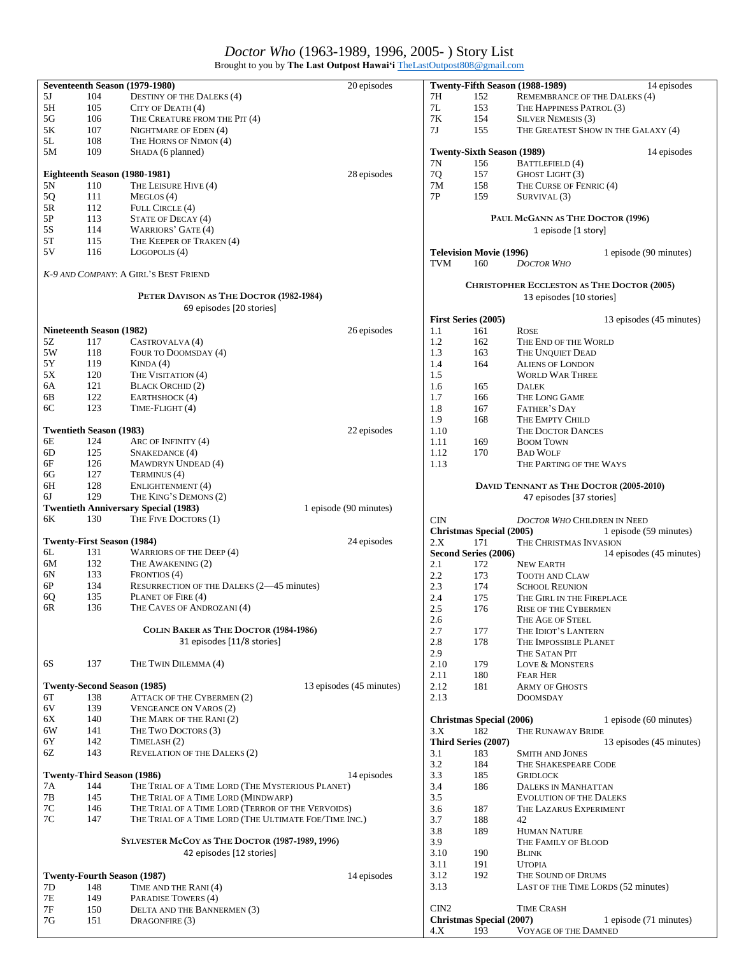### *Doctor Who* (1963-1989, 1996, 2005- ) Story List

Brought to you by **The Last Outpost Hawai'i** [TheLastOutpost808@gmail.com](mailto:TheLastOutpost808@gmail.com)

|               |                                 | Seventeenth Season (1979-1980)                        | 20 episodes              |                |                                   | Twenty-Fifth Season (1988-1989)         | 14 episodes                                |
|---------------|---------------------------------|-------------------------------------------------------|--------------------------|----------------|-----------------------------------|-----------------------------------------|--------------------------------------------|
| 5J            | 104                             | <b>DESTINY OF THE DALEKS (4)</b>                      |                          | 7H             | 152                               | REMEMBRANCE OF THE DALEKS (4)           |                                            |
| 5H            | 105                             | CITY OF DEATH (4)                                     |                          | 7L             | 153                               | THE HAPPINESS PATROL (3)                |                                            |
| $5G$          | 106                             | THE CREATURE FROM THE PIT (4)                         |                          | 7K             | 154                               | <b>SILVER NEMESIS (3)</b>               |                                            |
| 5K            | 107                             | NIGHTMARE OF EDEN (4)                                 |                          | 7 <sub>J</sub> | 155                               |                                         | THE GREATEST SHOW IN THE GALAXY (4)        |
| 5L            | 108                             | THE HORNS OF NIMON (4)                                |                          |                |                                   |                                         |                                            |
| 5M            | 109                             | SHADA (6 planned)                                     |                          |                | <b>Twenty-Sixth Season (1989)</b> |                                         | 14 episodes                                |
|               |                                 |                                                       |                          | 7N             | 156                               | <b>BATTLEFIELD</b> (4)                  |                                            |
|               |                                 | Eighteenth Season (1980-1981)                         | 28 episodes              | 7Q             | 157                               | GHOST LIGHT (3)                         |                                            |
| $5N$          | 110                             | THE LEISURE HIVE (4)                                  |                          | 7M             | 158                               | THE CURSE OF FENRIC (4)                 |                                            |
| 5Q            | 111                             | MEGLOS(4)                                             |                          | 7P             | 159                               | SURVIVAL (3)                            |                                            |
| $5R$          | 112                             | FULL CIRCLE (4)                                       |                          |                |                                   |                                         |                                            |
| $5\mathrm{P}$ | 113                             | STATE OF DECAY (4)                                    |                          |                |                                   | PAUL McGANN AS THE DOCTOR (1996)        |                                            |
| 5S            | 114                             | <b>WARRIORS' GATE (4)</b>                             |                          |                |                                   | 1 episode [1 story]                     |                                            |
| 5T            | 115                             | THE KEEPER OF TRAKEN (4)                              |                          |                |                                   |                                         |                                            |
| 5V            | 116                             | LOGOPOLIS (4)                                         |                          |                | <b>Television Movie (1996)</b>    |                                         | 1 episode (90 minutes)                     |
|               |                                 |                                                       |                          | <b>TVM</b>     | 160                               | <b>DOCTOR WHO</b>                       |                                            |
|               |                                 | K-9 AND COMPANY: A GIRL'S BEST FRIEND                 |                          |                |                                   |                                         |                                            |
|               |                                 |                                                       |                          |                |                                   |                                         | CHRISTOPHER ECCLESTON AS THE DOCTOR (2005) |
|               |                                 | PETER DAVISON AS THE DOCTOR (1982-1984)               |                          |                |                                   | 13 episodes [10 stories]                |                                            |
|               |                                 | 69 episodes [20 stories]                              |                          |                |                                   |                                         |                                            |
|               |                                 |                                                       |                          |                | First Series (2005)               |                                         | 13 episodes (45 minutes)                   |
|               | <b>Nineteenth Season (1982)</b> |                                                       | 26 episodes              | 1.1            | 161                               | <b>ROSE</b>                             |                                            |
| 5Z            | 117                             | CASTROVALVA(4)                                        |                          | 1.2            | 162                               | THE END OF THE WORLD                    |                                            |
| 5W            | 118                             | FOUR TO DOOMSDAY (4)                                  |                          | 1.3            | 163                               | THE UNQUIET DEAD                        |                                            |
| 5Y            | 119                             | KINDA(4)                                              |                          | 1.4            | 164                               | <b>ALIENS OF LONDON</b>                 |                                            |
| 5X            | 120                             | THE VISITATION (4)                                    |                          | 1.5            |                                   | <b>WORLD WAR THREE</b>                  |                                            |
| 6A            | 121                             | <b>BLACK ORCHID (2)</b>                               |                          |                |                                   |                                         |                                            |
| 6B            | 122                             | EARTHSHOCK (4)                                        |                          | 1.6<br>1.7     | 165                               | <b>DALEK</b>                            |                                            |
| 6C            | 123                             | TIME-FLIGHT (4)                                       |                          |                | 166                               | THE LONG GAME                           |                                            |
|               |                                 |                                                       |                          | 1.8            | 167                               | FATHER'S DAY                            |                                            |
|               |                                 |                                                       |                          | 1.9            | 168                               | THE EMPTY CHILD                         |                                            |
|               | <b>Twentieth Season (1983)</b>  |                                                       | 22 episodes              | 1.10           |                                   | THE DOCTOR DANCES                       |                                            |
| 6E            | 124                             | ARC OF INFINITY (4)                                   |                          | 1.11           | 169                               | <b>BOOM TOWN</b>                        |                                            |
| 6D            | 125                             | SNAKEDANCE (4)                                        |                          | 1.12           | 170                               | <b>BAD WOLF</b>                         |                                            |
| 6F            | 126                             | MAWDRYN UNDEAD (4)                                    |                          | 1.13           |                                   | THE PARTING OF THE WAYS                 |                                            |
| 6G            | 127                             | TERMINUS (4)                                          |                          |                |                                   |                                         |                                            |
| 6H            | 128                             | ENLIGHTENMENT (4)                                     |                          |                |                                   | DAVID TENNANT AS THE DOCTOR (2005-2010) |                                            |
| 6J            | 129                             | THE KING'S DEMONS (2)                                 |                          |                |                                   | 47 episodes [37 stories]                |                                            |
|               |                                 | <b>Twentieth Anniversary Special (1983)</b>           | 1 episode (90 minutes)   |                |                                   |                                         |                                            |
|               |                                 |                                                       |                          |                |                                   |                                         |                                            |
| 6K            | 130                             | THE FIVE DOCTORS (1)                                  |                          | <b>CIN</b>     |                                   | <b>DOCTOR WHO CHILDREN IN NEED</b>      |                                            |
|               |                                 |                                                       |                          |                | <b>Christmas Special (2005)</b>   |                                         | 1 episode (59 minutes)                     |
|               |                                 | <b>Twenty-First Season (1984)</b>                     | 24 episodes              | 2.X            | 171                               | THE CHRISTMAS INVASION                  |                                            |
| 6L            | 131                             | <b>WARRIORS OF THE DEEP (4)</b>                       |                          |                | Second Series (2006)              |                                         | 14 episodes (45 minutes)                   |
| 6M            | 132                             | THE AWAKENING (2)                                     |                          | 2.1            | 172                               | <b>NEW EARTH</b>                        |                                            |
| 6N            | 133                             | FRONTIOS (4)                                          |                          | 2.2            | 173                               |                                         |                                            |
| 6P            | 134                             | RESURRECTION OF THE DALEKS (2-45 minutes)             |                          | 2.3            | 174                               | TOOTH AND CLAW<br><b>SCHOOL REUNION</b> |                                            |
| 6Q            | 135                             | PLANET OF FIRE (4)                                    |                          | 2.4            | 175                               | THE GIRL IN THE FIREPLACE               |                                            |
| 6R            | 136                             | THE CAVES OF ANDROZANI (4)                            |                          |                |                                   |                                         |                                            |
|               |                                 |                                                       |                          | 2.5            | 176                               | <b>RISE OF THE CYBERMEN</b>             |                                            |
|               |                                 | COLIN BAKER AS THE DOCTOR (1984-1986)                 |                          | 2.6            |                                   | THE AGE OF STEEL                        |                                            |
|               |                                 |                                                       |                          | 2.7            | 177                               | THE IDIOT'S LANTERN                     |                                            |
|               |                                 | 31 episodes [11/8 stories]                            |                          | 2.8            | 178                               | THE IMPOSSIBLE PLANET                   |                                            |
|               |                                 |                                                       |                          | 2.9            |                                   | THE SATAN PIT                           |                                            |
| 6S            | 137                             | THE TWIN DILEMMA (4)                                  |                          | 2.10           | 179                               | LOVE & MONSTERS                         |                                            |
|               |                                 |                                                       |                          | 2.11           | 180                               | <b>FEAR HER</b>                         |                                            |
|               |                                 | <b>Twenty-Second Season (1985)</b>                    | 13 episodes (45 minutes) | 2.12           | 181                               | <b>ARMY OF GHOSTS</b>                   |                                            |
| 6T            | 138                             | <b>ATTACK OF THE CYBERMEN (2)</b>                     |                          | 2.13           |                                   | <b>DOOMSDAY</b>                         |                                            |
| 6V            | 139                             | <b>VENGEANCE ON VAROS (2)</b>                         |                          |                |                                   |                                         |                                            |
| 6X            | 140                             | THE MARK OF THE RANI (2)                              |                          |                | <b>Christmas Special (2006)</b>   |                                         | 1 episode (60 minutes)                     |
| 6W            | 141                             | THE TWO DOCTORS (3)                                   |                          | 3.X            | 182                               | THE RUNAWAY BRIDE                       |                                            |
| 6Y            | 142                             | TIMELASH <sub>(2)</sub>                               |                          |                | Third Series (2007)               |                                         | 13 episodes (45 minutes)                   |
| 6Z            | 143                             | <b>REVELATION OF THE DALEKS (2)</b>                   |                          | 3.1            | 183                               | <b>SMITH AND JONES</b>                  |                                            |
|               |                                 |                                                       |                          | 3.2            | 184                               | THE SHAKESPEARE CODE                    |                                            |
|               |                                 | <b>Twenty-Third Season (1986)</b>                     | 14 episodes              | 3.3            | 185                               | <b>GRIDLOCK</b>                         |                                            |
| 7Α            | 144                             | THE TRIAL OF A TIME LORD (THE MYSTERIOUS PLANET)      |                          | 3.4            | 186                               | <b>DALEKS IN MANHATTAN</b>              |                                            |
| 7B            | 145                             | THE TRIAL OF A TIME LORD (MINDWARP)                   |                          | 3.5            |                                   | <b>EVOLUTION OF THE DALEKS</b>          |                                            |
| $7\mathrm{C}$ | 146                             | THE TRIAL OF A TIME LORD (TERROR OF THE VERVOIDS)     |                          | 3.6            | 187                               | THE LAZARUS EXPERIMENT                  |                                            |
| $7\mathrm{C}$ | 147                             | THE TRIAL OF A TIME LORD (THE ULTIMATE FOE/TIME INC.) |                          | 3.7            | 188                               | 42                                      |                                            |
|               |                                 |                                                       |                          | 3.8            | 189                               | <b>HUMAN NATURE</b>                     |                                            |
|               |                                 | SYLVESTER McCOY AS THE DOCTOR (1987-1989, 1996)       |                          | 3.9            |                                   | THE FAMILY OF BLOOD                     |                                            |
|               |                                 | 42 episodes [12 stories]                              |                          | 3.10           | 190                               | <b>BLINK</b>                            |                                            |
|               |                                 |                                                       |                          | 3.11           | 191                               | <b>UTOPIA</b>                           |                                            |
|               |                                 | <b>Twenty-Fourth Season (1987)</b>                    | 14 episodes              | 3.12           | 192                               | THE SOUND OF DRUMS                      |                                            |
| 7D            | 148                             | TIME AND THE RANI (4)                                 |                          | 3.13           |                                   | LAST OF THE TIME LORDS (52 minutes)     |                                            |
| 7E            | 149                             | PARADISE TOWERS (4)                                   |                          |                |                                   |                                         |                                            |
| $7\mathrm{F}$ | 150                             | DELTA AND THE BANNERMEN (3)                           |                          | CIN2           |                                   | <b>TIME CRASH</b>                       |                                            |
| $7\mathrm{G}$ | 151                             | DRAGONFIRE (3)                                        |                          | 4.X            | <b>Christmas Special (2007)</b>   |                                         | 1 episode (71 minutes)                     |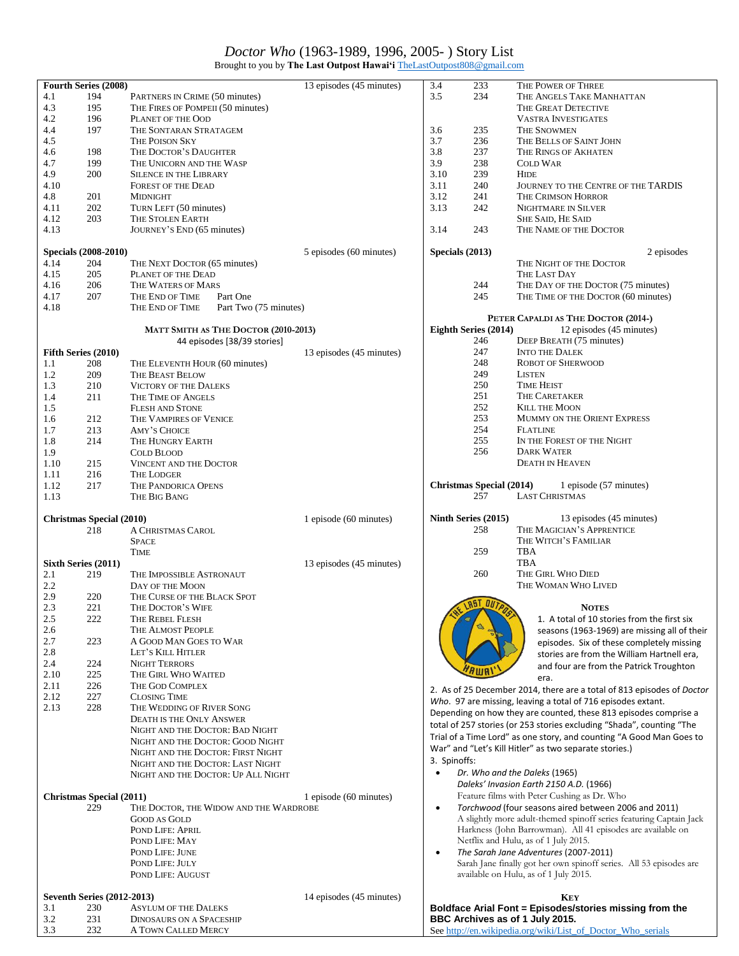## *Doctor Who* (1963-1989, 1996, 2005- ) Story List

Brought to you by **The Last Outpost Hawai'i** [TheLastOutpost808@gmail.com](mailto:TheLastOutpost808@gmail.com)

|      | <b>Fourth Series (2008)</b>       |                                          | 13 episodes (45 minutes) | 3.4             | 233                             | THE POWER OF THREE                                                     |
|------|-----------------------------------|------------------------------------------|--------------------------|-----------------|---------------------------------|------------------------------------------------------------------------|
| 4.1  | 194                               | PARTNERS IN CRIME (50 minutes)           |                          | 3.5             | 234                             | THE ANGELS TAKE MANHATTAN                                              |
| 4.3  | 195                               | THE FIRES OF POMPEII (50 minutes)        |                          |                 |                                 | THE GREAT DETECTIVE                                                    |
| 4.2  | 196                               | PLANET OF THE OOD                        |                          |                 |                                 | <b>VASTRA INVESTIGATES</b>                                             |
|      |                                   |                                          |                          |                 |                                 |                                                                        |
| 4.4  | 197                               | THE SONTARAN STRATAGEM                   |                          | 3.6             | 235                             | <b>THE SNOWMEN</b>                                                     |
| 4.5  |                                   | THE POISON SKY                           |                          | 3.7             | 236                             | THE BELLS OF SAINT JOHN                                                |
| 4.6  | 198                               | THE DOCTOR'S DAUGHTER                    |                          | 3.8             | 237                             | THE RINGS OF AKHATEN                                                   |
| 4.7  | 199                               | THE UNICORN AND THE WASP                 |                          | 3.9             | 238                             | <b>COLD WAR</b>                                                        |
| 4.9  | 200                               | <b>SILENCE IN THE LIBRARY</b>            |                          | 3.10            | 239                             | <b>HIDE</b>                                                            |
| 4.10 |                                   | <b>FOREST OF THE DEAD</b>                |                          | 3.11            | 240                             | JOURNEY TO THE CENTRE OF THE TARDIS                                    |
|      |                                   |                                          |                          |                 |                                 |                                                                        |
| 4.8  | 201                               | <b>MIDNIGHT</b>                          |                          | 3.12            | 241                             | THE CRIMSON HORROR                                                     |
| 4.11 | 202                               | TURN LEFT (50 minutes)                   |                          | 3.13            | 242                             | NIGHTMARE IN SILVER                                                    |
| 4.12 | 203                               | THE STOLEN EARTH                         |                          |                 |                                 | <b>SHE SAID, HE SAID</b>                                               |
| 4.13 |                                   | JOURNEY'S END (65 minutes)               |                          | 3.14            | 243                             | THE NAME OF THE DOCTOR                                                 |
|      |                                   |                                          |                          |                 |                                 |                                                                        |
|      |                                   |                                          |                          |                 |                                 |                                                                        |
|      | Specials (2008-2010)              |                                          | 5 episodes (60 minutes)  | Specials (2013) |                                 | 2 episodes                                                             |
| 4.14 | 204                               | THE NEXT DOCTOR (65 minutes)             |                          |                 |                                 | THE NIGHT OF THE DOCTOR                                                |
| 4.15 | 205                               | PLANET OF THE DEAD                       |                          |                 |                                 | THE LAST DAY                                                           |
| 4.16 | 206                               | THE WATERS OF MARS                       |                          |                 | 244                             | THE DAY OF THE DOCTOR (75 minutes)                                     |
| 4.17 | 207                               | THE END OF TIME<br>Part One              |                          |                 | 245                             | THE TIME OF THE DOCTOR (60 minutes)                                    |
| 4.18 |                                   | Part Two (75 minutes)<br>THE END OF TIME |                          |                 |                                 |                                                                        |
|      |                                   |                                          |                          |                 |                                 |                                                                        |
|      |                                   |                                          |                          |                 |                                 | PETER CAPALDI AS THE DOCTOR (2014-)                                    |
|      |                                   | MATT SMITH AS THE DOCTOR (2010-2013)     |                          |                 | Eighth Series (2014)            | 12 episodes (45 minutes)                                               |
|      |                                   | 44 episodes [38/39 stories]              |                          |                 | 246                             | DEEP BREATH (75 minutes)                                               |
|      | Fifth Series (2010)               |                                          | 13 episodes (45 minutes) |                 | 247                             | <b>INTO THE DALEK</b>                                                  |
| 1.1  | 208                               | THE ELEVENTH HOUR (60 minutes)           |                          |                 | 248                             | <b>ROBOT OF SHERWOOD</b>                                               |
|      |                                   |                                          |                          |                 | 249                             |                                                                        |
| 1.2  | 209                               | <b>THE BEAST BELOW</b>                   |                          |                 |                                 | <b>LISTEN</b>                                                          |
| 1.3  | 210                               | <b>VICTORY OF THE DALEKS</b>             |                          |                 | 250                             | <b>TIME HEIST</b>                                                      |
| 1.4  | 211                               | THE TIME OF ANGELS                       |                          |                 | 251                             | THE CARETAKER                                                          |
| 1.5  |                                   | <b>FLESH AND STONE</b>                   |                          |                 | 252                             | <b>KILL THE MOON</b>                                                   |
| 1.6  | 212                               | THE VAMPIRES OF VENICE                   |                          |                 | 253                             | MUMMY ON THE ORIENT EXPRESS                                            |
|      |                                   |                                          |                          |                 | 254                             | <b>FLATLINE</b>                                                        |
| 1.7  | 213                               | AMY'S CHOICE                             |                          |                 |                                 |                                                                        |
| 1.8  | 214                               | THE HUNGRY EARTH                         |                          |                 | 255                             | IN THE FOREST OF THE NIGHT                                             |
| 1.9  |                                   | <b>COLD BLOOD</b>                        |                          |                 | 256                             | <b>DARK WATER</b>                                                      |
| 1.10 | 215                               | <b>VINCENT AND THE DOCTOR</b>            |                          |                 |                                 | <b>DEATH IN HEAVEN</b>                                                 |
| 1.11 | 216                               | <b>THE LODGER</b>                        |                          |                 |                                 |                                                                        |
| 1.12 | 217                               | THE PANDORICA OPENS                      |                          |                 | <b>Christmas Special (2014)</b> | 1 episode (57 minutes)                                                 |
|      |                                   |                                          |                          |                 | 257                             | <b>LAST CHRISTMAS</b>                                                  |
| 1.13 |                                   | THE BIG BANG                             |                          |                 |                                 |                                                                        |
|      |                                   |                                          |                          |                 |                                 |                                                                        |
|      |                                   |                                          |                          |                 |                                 |                                                                        |
|      | <b>Christmas Special (2010)</b>   |                                          | 1 episode (60 minutes)   |                 | Ninth Series (2015)             | 13 episodes (45 minutes)                                               |
|      | 218                               |                                          |                          |                 | 258                             | THE MAGICIAN'S APPRENTICE                                              |
|      |                                   | A CHRISTMAS CAROL                        |                          |                 |                                 |                                                                        |
|      |                                   | <b>SPACE</b>                             |                          |                 |                                 | THE WITCH'S FAMILIAR                                                   |
|      |                                   | <b>TIME</b>                              |                          |                 | 259                             | TBA                                                                    |
|      | Sixth Series (2011)               |                                          | 13 episodes (45 minutes) |                 |                                 | <b>TBA</b>                                                             |
| 2.1  | 219                               | THE IMPOSSIBLE ASTRONAUT                 |                          |                 | 260                             | THE GIRL WHO DIED                                                      |
| 2.2  |                                   | DAY OF THE MOON                          |                          |                 |                                 | THE WOMAN WHO LIVED                                                    |
|      | 220                               |                                          |                          |                 |                                 |                                                                        |
| 2.9  |                                   | THE CURSE OF THE BLACK SPOT              |                          |                 |                                 |                                                                        |
| 2.3  | 221                               | THE DOCTOR'S WIFE                        |                          |                 | RST OUTPUS                      | <b>NOTES</b>                                                           |
| 2.5  | 222                               | THE REBEL FLESH                          |                          |                 |                                 | 1. A total of 10 stories from the first six                            |
| 2.6  |                                   | THE ALMOST PEOPLE                        |                          |                 |                                 | seasons (1963-1969) are missing all of their                           |
| 2.7  | 223                               | A GOOD MAN GOES TO WAR                   |                          |                 |                                 | episodes. Six of these completely missing                              |
| 2.8  |                                   | LET'S KILL HITLER                        |                          |                 |                                 | stories are from the William Hartnell era,                             |
| 2.4  | 224                               | <b>NIGHT TERRORS</b>                     |                          |                 |                                 |                                                                        |
|      |                                   |                                          |                          |                 |                                 | and four are from the Patrick Troughton                                |
| 2.10 | 225                               | THE GIRL WHO WAITED                      |                          |                 |                                 | era.                                                                   |
| 2.11 | 226                               | THE GOD COMPLEX                          |                          |                 |                                 | 2. As of 25 December 2014, there are a total of 813 episodes of Doctor |
| 2.12 | 227                               | <b>CLOSING TIME</b>                      |                          |                 |                                 | Who. 97 are missing, leaving a total of 716 episodes extant.           |
| 2.13 | 228                               | THE WEDDING OF RIVER SONG                |                          |                 |                                 |                                                                        |
|      |                                   | <b>DEATH IS THE ONLY ANSWER</b>          |                          |                 |                                 | Depending on how they are counted, these 813 episodes comprise a       |
|      |                                   | NIGHT AND THE DOCTOR: BAD NIGHT          |                          |                 |                                 | total of 257 stories (or 253 stories excluding "Shada", counting "The  |
|      |                                   |                                          |                          |                 |                                 | Trial of a Time Lord" as one story, and counting "A Good Man Goes to   |
|      |                                   | NIGHT AND THE DOCTOR: GOOD NIGHT         |                          |                 |                                 | War" and "Let's Kill Hitler" as two separate stories.)                 |
|      |                                   | NIGHT AND THE DOCTOR: FIRST NIGHT        |                          |                 |                                 |                                                                        |
|      |                                   | NIGHT AND THE DOCTOR: LAST NIGHT         |                          | 3. Spinoffs:    |                                 |                                                                        |
|      |                                   | NIGHT AND THE DOCTOR: UP ALL NIGHT       |                          | $\bullet$       |                                 | Dr. Who and the Daleks (1965)                                          |
|      |                                   |                                          |                          |                 |                                 | Daleks' Invasion Earth 2150 A.D. (1966)                                |
|      |                                   |                                          |                          |                 |                                 | Feature films with Peter Cushing as Dr. Who                            |
|      | <b>Christmas Special (2011)</b>   |                                          | 1 episode (60 minutes)   | $\bullet$       |                                 |                                                                        |
|      | 229                               | THE DOCTOR, THE WIDOW AND THE WARDROBE   |                          |                 |                                 | Torchwood (four seasons aired between 2006 and 2011)                   |
|      |                                   | <b>GOOD AS GOLD</b>                      |                          |                 |                                 | A slightly more adult-themed spinoff series featuring Captain Jack     |
|      |                                   | POND LIFE: APRIL                         |                          |                 |                                 | Harkness (John Barrowman). All 41 episodes are available on            |
|      |                                   | POND LIFE: MAY                           |                          |                 |                                 | Netflix and Hulu, as of 1 July 2015.                                   |
|      |                                   | POND LIFE: JUNE                          |                          | $\bullet$       |                                 | The Sarah Jane Adventures (2007-2011)                                  |
|      |                                   | POND LIFE: JULY                          |                          |                 |                                 |                                                                        |
|      |                                   |                                          |                          |                 |                                 | Sarah Jane finally got her own spinoff series. All 53 episodes are     |
|      |                                   | POND LIFE: AUGUST                        |                          |                 |                                 | available on Hulu, as of 1 July 2015.                                  |
|      |                                   |                                          |                          |                 |                                 |                                                                        |
|      | <b>Seventh Series (2012-2013)</b> |                                          | 14 episodes (45 minutes) |                 |                                 | <b>KEY</b>                                                             |
| 3.1  | 230                               | <b>ASYLUM OF THE DALEKS</b>              |                          |                 |                                 | Boldface Arial Font = Episodes/stories missing from the                |
| 3.2  | 231                               | <b>DINOSAURS ON A SPACESHIP</b>          |                          |                 |                                 | BBC Archives as of 1 July 2015.                                        |